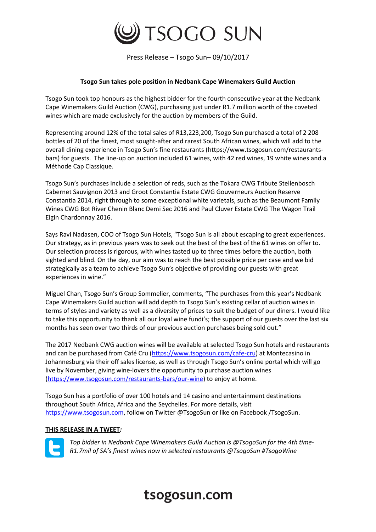

Press Release – Tsogo Sun– 09/10/2017

## **Tsogo Sun takes pole position in Nedbank Cape Winemakers Guild Auction**

Tsogo Sun took top honours as the highest bidder for the fourth consecutive year at the Nedbank Cape Winemakers Guild Auction (CWG), purchasing just under R1.7 million worth of the coveted wines which are made exclusively for the auction by members of the Guild.

Representing around 12% of the total sales of R13,223,200, Tsogo Sun purchased a total of 2 208 bottles of 20 of the finest, most sought-after and rarest South African wines, which will add to the overall dining experience in Tsogo Sun's fine restaurants (https://www.tsogosun.com/restaurantsbars) for guests. The line-up on auction included 61 wines, with 42 red wines, 19 white wines and a Méthode Cap Classique.

Tsogo Sun's purchases include a selection of reds, such as the Tokara CWG Tribute Stellenbosch Cabernet Sauvignon 2013 and Groot Constantia Estate CWG Gouverneurs Auction Reserve Constantia 2014, right through to some exceptional white varietals, such as the Beaumont Family Wines CWG Bot River Chenin Blanc Demi Sec 2016 and Paul Cluver Estate CWG The Wagon Trail Elgin Chardonnay 2016.

Says Ravi Nadasen, COO of Tsogo Sun Hotels, "Tsogo Sun is all about escaping to great experiences. Our strategy, as in previous years was to seek out the best of the best of the 61 wines on offer to. Our selection process is rigorous, with wines tasted up to three times before the auction, both sighted and blind. On the day, our aim was to reach the best possible price per case and we bid strategically as a team to achieve Tsogo Sun's objective of providing our guests with great experiences in wine."

Miguel Chan, Tsogo Sun's Group Sommelier, comments, "The purchases from this year's Nedbank Cape Winemakers Guild auction will add depth to Tsogo Sun's existing cellar of auction wines in terms of styles and variety as well as a diversity of prices to suit the budget of our diners. I would like to take this opportunity to thank all our loyal wine fundi's; the support of our guests over the last six months has seen over two thirds of our previous auction purchases being sold out."

The 2017 Nedbank CWG auction wines will be available at selected Tsogo Sun hotels and restaurants and can be purchased from Café Cru [\(https://www.tsogosun.com/cafe-cru\)](https://www.tsogosun.com/cafe-cru) at Montecasino in Johannesburg via their off sales license, as well as through Tsogo Sun's online portal which will go live by November, giving wine-lovers the opportunity to purchase auction wines [\(https://www.tsogosun.com/restaurants-bars/our-wine\)](https://www.tsogosun.com/restaurants-bars/our-wine) to enjoy at home.

Tsogo Sun has a portfolio of over 100 hotels and 14 casino and entertainment destinations throughout South Africa, Africa and the Seychelles. For more details, visit [https://www.tsogosun.com,](https://www.tsogosun.com/) follow on Twitter @TsogoSun or like on Facebook /TsogoSun.

#### **THIS RELEASE IN A TWEET***:*



*Top bidder in Nedbank Cape Winemakers Guild Auction is @TsogoSun for the 4th time-R1.7mil of SA's finest wines now in selected restaurants @TsogoSun #TsogoWine*

# tsogosun.com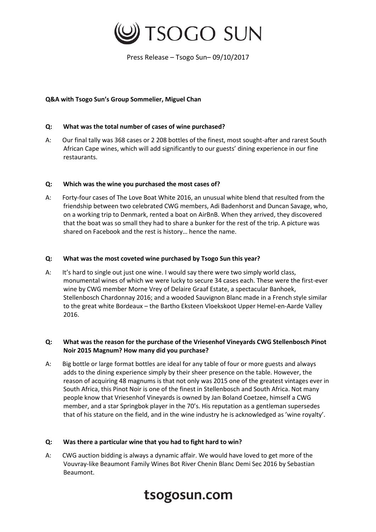

Press Release – Tsogo Sun– 09/10/2017

## **Q&A with Tsogo Sun's Group Sommelier, Miguel Chan**

## **Q: What was the total number of cases of wine purchased?**

A: Our final tally was 368 cases or 2 208 bottles of the finest, most sought-after and rarest South African Cape wines, which will add significantly to our guests' dining experience in our fine restaurants.

#### **Q: Which was the wine you purchased the most cases of?**

A: Forty-four cases of The Love Boat White 2016, an unusual white blend that resulted from the friendship between two celebrated CWG members, Adi Badenhorst and Duncan Savage, who, on a working trip to Denmark, rented a boat on AirBnB. When they arrived, they discovered that the boat was so small they had to share a bunker for the rest of the trip. A picture was shared on Facebook and the rest is history… hence the name.

# **Q: What was the most coveted wine purchased by Tsogo Sun this year?**

A: It's hard to single out just one wine. I would say there were two simply world class, monumental wines of which we were lucky to secure 34 cases each. These were the first-ever wine by CWG member Morne Vrey of Delaire Graaf Estate, a spectacular Banhoek, Stellenbosch Chardonnay 2016; and a wooded Sauvignon Blanc made in a French style similar to the great white Bordeaux – the Bartho Eksteen Vloekskoot Upper Hemel-en-Aarde Valley 2016.

# **Q: What was the reason for the purchase of the Vriesenhof Vineyards CWG Stellenbosch Pinot Noir 2015 Magnum? How many did you purchase?**

A: Big bottle or large format bottles are ideal for any table of four or more guests and always adds to the dining experience simply by their sheer presence on the table. However, the reason of acquiring 48 magnums is that not only was 2015 one of the greatest vintages ever in South Africa, this Pinot Noir is one of the finest in Stellenbosch and South Africa. Not many people know that Vriesenhof Vineyards is owned by Jan Boland Coetzee, himself a CWG member, and a star Springbok player in the 70's. His reputation as a gentleman supersedes that of his stature on the field, and in the wine industry he is acknowledged as 'wine royalty'.

#### **Q: Was there a particular wine that you had to fight hard to win?**

A: CWG auction bidding is always a dynamic affair. We would have loved to get more of the Vouvray-like Beaumont Family Wines Bot River Chenin Blanc Demi Sec 2016 by Sebastian Beaumont.